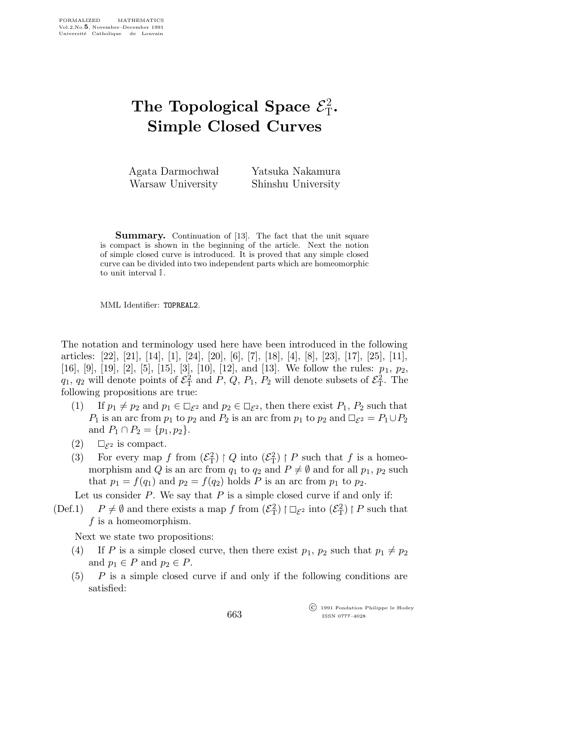## The Topological Space  $\mathcal{E}_{\text{T}}^2$ . Simple Closed Curves

| Agata Darmochwał  | Yatsuka Nakamura   |
|-------------------|--------------------|
| Warsaw University | Shinshu University |

**Summary.** Continuation of [13]. The fact that the unit square is compact is shown in the beginning of the article. Next the notion of simple closed curve is introduced. It is proved that any simple closed curve can be divided into two independent parts which are homeomorphic to unit interval .

MML Identifier: TOPREAL2.

The notation and terminology used here have been introduced in the following articles: [22], [21], [14], [1], [24], [20], [6], [7], [18], [4], [8], [23], [17], [25], [11], [16], [9], [19], [2], [5], [15], [3], [10], [12], and [13]. We follow the rules:  $p_1$ ,  $p_2$ ,  $q_1, q_2$  will denote points of  $\mathcal{E}_{\rm T}^2$  and P, Q, P<sub>1</sub>, P<sub>2</sub> will denote subsets of  $\mathcal{E}_{\rm T}^2$ . The following propositions are true:

- (1) If  $p_1 \neq p_2$  and  $p_1 \in \Box_{\mathcal{E}^2}$  and  $p_2 \in \Box_{\mathcal{E}^2}$ , then there exist  $P_1, P_2$  such that  $P_1$  is an arc from  $p_1$  to  $p_2$  and  $P_2$  is an arc from  $p_1$  to  $p_2$  and  $\Box_{\mathcal{E}^2} = P_1 \cup P_2$ and  $P_1 \cap P_2 = \{p_1, p_2\}.$
- (2)  $\square_{\mathcal{E}^2}$  is compact.
- (3) For every map f from  $(\mathcal{E}_{\tau}^2) \upharpoonright Q$  into  $(\mathcal{E}_{\tau}^2) \upharpoonright P$  such that f is a homeomorphism and Q is an arc from  $q_1$  to  $q_2$  and  $P \neq \emptyset$  and for all  $p_1, p_2$  such that  $p_1 = f(q_1)$  and  $p_2 = f(q_2)$  holds P is an arc from  $p_1$  to  $p_2$ .

Let us consider  $P$ . We say that  $P$  is a simple closed curve if and only if:

(Def.1)  $P \neq \emptyset$  and there exists a map f from  $(\mathcal{E}_{\mathrm{T}}^2) \upharpoonright \Box_{\mathcal{E}^2}$  into  $(\mathcal{E}_{\mathrm{T}}^2) \upharpoonright P$  such that  $f$  is a homeomorphism.

Next we state two propositions:

- (4) If P is a simple closed curve, then there exist  $p_1, p_2$  such that  $p_1 \neq p_2$ and  $p_1 \in P$  and  $p_2 \in P$ .
- $(5)$  P is a simple closed curve if and only if the following conditions are satisfied:

 c 1991 Fondation Philippe le Hodey ISSN 0777–4028